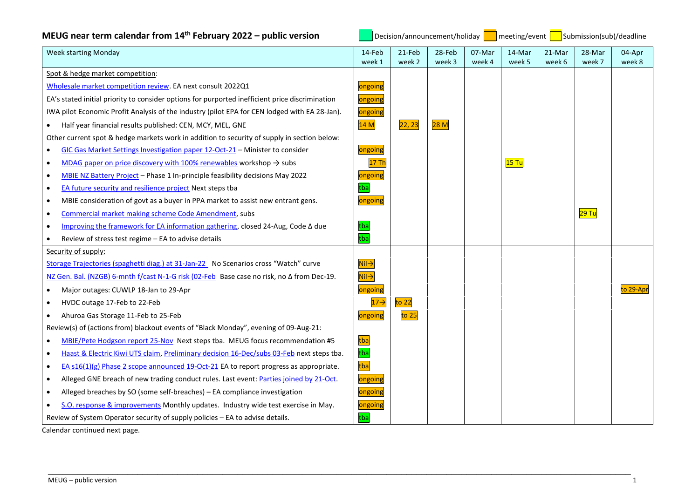| MEUG near term calendar from 14 <sup>th</sup> February 2022 - public version |  |  |  |
|------------------------------------------------------------------------------|--|--|--|
|------------------------------------------------------------------------------|--|--|--|

**N**<br>| Decision/announcement/holiday **| The meeting/event | The Submission(sub)/deadline** 

| <b>Week starting Monday</b>                                                                           | 14-Feb                                         | 21-Feb               | 28-Feb | 07-Mar | 14-Mar | 21-Mar | 28-Mar             | 04-Apr    |
|-------------------------------------------------------------------------------------------------------|------------------------------------------------|----------------------|--------|--------|--------|--------|--------------------|-----------|
| Spot & hedge market competition:                                                                      | week 1                                         | week 2               | week 3 | week 4 | week 5 | week 6 | week 7             | week 8    |
| Wholesale market competition review. EA next consult 2022Q1                                           |                                                |                      |        |        |        |        |                    |           |
| EA's stated initial priority to consider options for purported inefficient price discrimination       | ongoing                                        |                      |        |        |        |        |                    |           |
|                                                                                                       | ongoing                                        |                      |        |        |        |        |                    |           |
| IWA pilot Economic Profit Analysis of the industry (pilot EPA for CEN lodged with EA 28-Jan).         | ongoing                                        |                      |        |        |        |        |                    |           |
| Half year financial results published: CEN, MCY, MEL, GNE                                             | 14M                                            | 22, 23               | 28M    |        |        |        |                    |           |
| Other current spot & hedge markets work in addition to security of supply in section below:           |                                                |                      |        |        |        |        |                    |           |
| GIC Gas Market Settings Investigation paper 12-Oct-21 - Minister to consider<br>$\bullet$             | ongoing                                        |                      |        |        |        |        |                    |           |
| MDAG paper on price discovery with 100% renewables workshop $\rightarrow$ subs<br>$\bullet$           | 17 Th                                          |                      |        |        | 15 Tu  |        |                    |           |
| MBIE NZ Battery Project - Phase 1 In-principle feasibility decisions May 2022<br>$\bullet$            | ongoing                                        |                      |        |        |        |        |                    |           |
| EA future security and resilience project Next steps tba<br>$\bullet$                                 | tba                                            |                      |        |        |        |        |                    |           |
| MBIE consideration of govt as a buyer in PPA market to assist new entrant gens.<br>$\bullet$          | ongoing                                        |                      |        |        |        |        |                    |           |
| Commercial market making scheme Code Amendment, subs<br>$\bullet$                                     |                                                |                      |        |        |        |        | <mark>29 Tu</mark> |           |
| Improving the framework for EA information gathering, closed 24-Aug, Code A due                       | tba                                            |                      |        |        |        |        |                    |           |
| Review of stress test regime - EA to advise details                                                   | tba                                            |                      |        |        |        |        |                    |           |
| Security of supply:                                                                                   |                                                |                      |        |        |        |        |                    |           |
| Storage Trajectories (spaghetti diag.) at 31-Jan-22 No Scenarios cross "Watch" curve                  | $\overline{\mathsf{Nil}}$                      |                      |        |        |        |        |                    |           |
| NZ Gen. Bal. (NZGB) 6-mnth f/cast N-1-G risk (02-Feb Base case no risk, no ∆ from Dec-19.             | $\overline{\mathsf{Nil}\mathord{\rightarrow}}$ |                      |        |        |        |        |                    |           |
| Major outages: CUWLP 18-Jan to 29-Apr<br>$\bullet$                                                    | ongoing                                        |                      |        |        |        |        |                    | to 29-Apr |
| HVDC outage 17-Feb to 22-Feb<br>$\bullet$                                                             | $17 \rightarrow$                               | to 22 $\overline{a}$ |        |        |        |        |                    |           |
| Ahuroa Gas Storage 11-Feb to 25-Feb                                                                   | ongoing                                        | to 25                |        |        |        |        |                    |           |
| Review(s) of (actions from) blackout events of "Black Monday", evening of 09-Aug-21:                  |                                                |                      |        |        |        |        |                    |           |
| MBIE/Pete Hodgson report 25-Nov Next steps tba. MEUG focus recommendation #5<br>$\bullet$             | tba                                            |                      |        |        |        |        |                    |           |
| Haast & Electric Kiwi UTS claim, Preliminary decision 16-Dec/subs 03-Feb next steps tba.<br>$\bullet$ | tba                                            |                      |        |        |        |        |                    |           |
| EA s16(1)(g) Phase 2 scope announced 19-Oct-21 EA to report progress as appropriate.<br>$\bullet$     | tba                                            |                      |        |        |        |        |                    |           |
| Alleged GNE breach of new trading conduct rules. Last event: Parties joined by 21-Oct.<br>$\bullet$   | ongoing                                        |                      |        |        |        |        |                    |           |
| Alleged breaches by SO (some self-breaches) - EA compliance investigation<br>$\bullet$                | ongoing                                        |                      |        |        |        |        |                    |           |
| S.O. response & improvements Monthly updates. Industry wide test exercise in May.                     | ongoing                                        |                      |        |        |        |        |                    |           |
| Review of System Operator security of supply policies - EA to advise details.                         | tba                                            |                      |        |        |        |        |                    |           |

\_\_\_\_\_\_\_\_\_\_\_\_\_\_\_\_\_\_\_\_\_\_\_\_\_\_\_\_\_\_\_\_\_\_\_\_\_\_\_\_\_\_\_\_\_\_\_\_\_\_\_\_\_\_\_\_\_\_\_\_\_\_\_\_\_\_\_\_\_\_\_\_\_\_\_\_\_\_\_\_\_\_\_\_\_\_\_\_\_\_\_\_\_\_\_\_\_\_\_\_\_\_\_\_\_\_\_\_\_\_\_\_\_\_\_\_\_

Calendar continued next page.